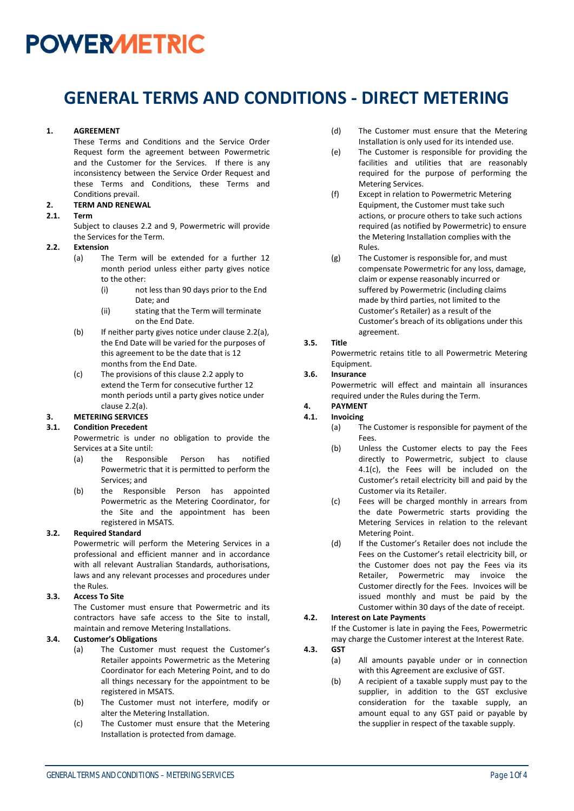### **GENERAL TERMS AND CONDITIONS - DIRECT METERING**

#### **1. AGREEMENT**

These Terms and Conditions and the Service Order Request form the agreement between Powermetric and the Customer for the Services. If there is any inconsistency between the Service Order Request and these Terms and Conditions, these Terms and Conditions prevail.

#### **2. TERM AND RENEWAL**

#### **2.1. Term**

Subject to clauses 2.2 and [9,](#page-1-0) Powermetric will provide the Services for the Term.

#### <span id="page-0-1"></span><span id="page-0-0"></span>**2.2. Extension**

- (a) The Term will be extended for a further 12 month period unless either party gives notice to the other:
	- (i) not less than 90 days prior to the End Date; and
	- (ii) stating that the Term will terminate on the End Date.
- (b) If neither party gives notice under clause [2.2\(a\),](#page-0-0) the End Date will be varied for the purposes of this agreement to be the date that is 12 months from the End Date.
- (c) The provisions of this claus[e 2.2](#page-0-1) apply to extend the Term for consecutive further 12 month periods until a party gives notice under clause [2.2\(a\).](#page-0-0)

### **3. METERING SERVICES**

#### **3.1. Condition Precedent**

Powermetric is under no obligation to provide the Services at a Site until:

- (a) the Responsible Person has notified Powermetric that it is permitted to perform the Services; and
- (b) the Responsible Person has appointed Powermetric as the Metering Coordinator, for the Site and the appointment has been registered in MSATS.

#### **3.2. Required Standard**

Powermetric will perform the Metering Services in a professional and efficient manner and in accordance with all relevant Australian Standards, authorisations, laws and any relevant processes and procedures under the Rules.

#### **3.3. Access To Site**

The Customer must ensure that Powermetric and its contractors have safe access to the Site to install, maintain and remove Metering Installations.

#### **3.4. Customer's Obligations**

- (a) The Customer must request the Customer's Retailer appoints Powermetric as the Metering Coordinator for each Metering Point, and to do all things necessary for the appointment to be registered in MSATS.
- (b) The Customer must not interfere, modify or alter the Metering Installation.
- (c) The Customer must ensure that the Metering Installation is protected from damage.
- (d) The Customer must ensure that the Metering Installation is only used for its intended use.
- (e) The Customer is responsible for providing the facilities and utilities that are reasonably required for the purpose of performing the Metering Services.
- (f) Except in relation to Powermetric Metering Equipment, the Customer must take such actions, or procure others to take such actions required (as notified by Powermetric) to ensure the Metering Installation complies with the Rules.
- (g) The Customer is responsible for, and must compensate Powermetric for any loss, damage, claim or expense reasonably incurred or suffered by Powermetric (including claims made by third parties, not limited to the Customer's Retailer) as a result of the Customer's breach of its obligations under this agreement.

#### **3.5. Title**

Powermetric retains title to all Powermetric Metering Equipment.

#### **3.6. Insurance**

Powermetric will effect and maintain all insurances required under the Rules during the Term.

#### **4. PAYMENT 4.1. Invoicing**

- (a) The Customer is responsible for payment of the Fees.
- (b) Unless the Customer elects to pay the Fees directly to Powermetric, subject to clause 4.1(c), the Fees will be included on the Customer's retail electricity bill and paid by the Customer via its Retailer.
- (c) Fees will be charged monthly in arrears from the date Powermetric starts providing the Metering Services in relation to the relevant Metering Point.
- (d) If the Customer's Retailer does not include the Fees on the Customer's retail electricity bill, or the Customer does not pay the Fees via its Retailer, Powermetric may invoice the Customer directly for the Fees. Invoices will be issued monthly and must be paid by the Customer within 30 days of the date of receipt.

#### **4.2. Interest on Late Payments**

If the Customer is late in paying the Fees, Powermetric may charge the Customer interest at the Interest Rate.

#### **4.3. GST**

- (a) All amounts payable under or in connection with this Agreement are exclusive of GST.
- (b) A recipient of a taxable supply must pay to the supplier, in addition to the GST exclusive consideration for the taxable supply, an amount equal to any GST paid or payable by the supplier in respect of the taxable supply.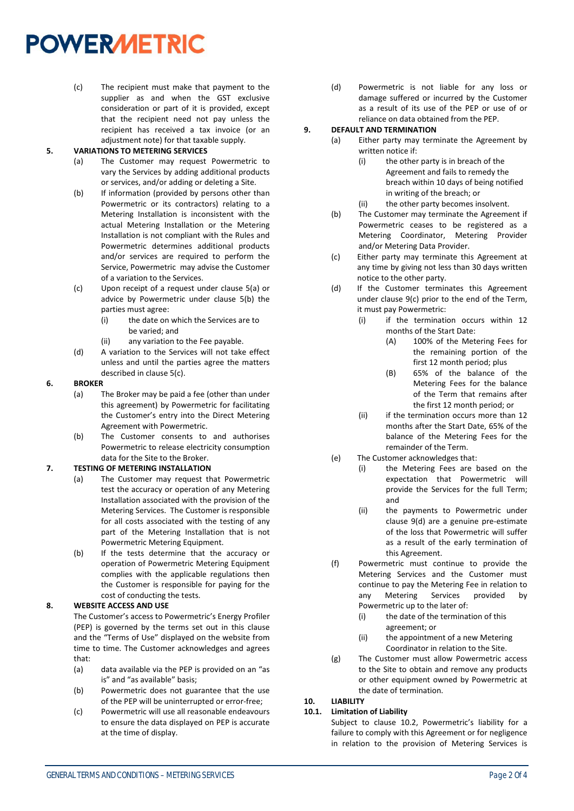(c) The recipient must make that payment to the supplier as and when the GST exclusive consideration or part of it is provided, except that the recipient need not pay unless the recipient has received a tax invoice (or an adjustment note) for that taxable supply.

#### **5. VARIATIONS TO METERING SERVICES**

- (a) The Customer may request Powermetric to vary the Services by adding additional products or services, and/or adding or deleting a Site.
- (b) If information (provided by persons other than Powermetric or its contractors) relating to a Metering Installation is inconsistent with the actual Metering Installation or the Metering Installation is not compliant with the Rules and Powermetric determines additional products and/or services are required to perform the Service, Powermetric may advise the Customer of a variation to the Services.
- (c) Upon receipt of a request under clause 5(a) or advice by Powermetric under clause 5(b) the parties must agree:
	- (i) the date on which the Services are to be varied; and
	- (ii) any variation to the Fee payable.
- (d) A variation to the Services will not take effect unless and until the parties agree the matters described in clause 5(c).

#### **6. BROKER**

- (a) The Broker may be paid a fee (other than under this agreement) by Powermetric for facilitating the Customer's entry into the Direct Metering Agreement with Powermetric.
- (b) The Customer consents to and authorises Powermetric to release electricity consumption data for the Site to the Broker.

#### **7. TESTING OF METERING INSTALLATION**

- (a) The Customer may request that Powermetric test the accuracy or operation of any Metering Installation associated with the provision of the Metering Services. The Customer is responsible for all costs associated with the testing of any part of the Metering Installation that is not Powermetric Metering Equipment.
- (b) If the tests determine that the accuracy or operation of Powermetric Metering Equipment complies with the applicable regulations then the Customer is responsible for paying for the cost of conducting the tests.

#### **8. WEBSITE ACCESS AND USE**

The Customer's access to Powermetric's Energy Profiler (PEP) is governed by the terms set out in this clause and the "Terms of Use" displayed on the website from time to time. The Customer acknowledges and agrees that:

- (a) data available via the PEP is provided on an "as is" and "as available" basis;
- (b) Powermetric does not guarantee that the use of the PEP will be uninterrupted or error-free;
- (c) Powermetric will use all reasonable endeavours to ensure the data displayed on PEP is accurate at the time of display.

(d) Powermetric is not liable for any loss or damage suffered or incurred by the Customer as a result of its use of the PEP or use of or reliance on data obtained from the PEP.

#### <span id="page-1-0"></span>**9. DEFAULT AND TERMINATION**

- (a) Either party may terminate the Agreement by written notice if:
	- (i) the other party is in breach of the Agreement and fails to remedy the breach within 10 days of being notified in writing of the breach; or
	- (ii) the other party becomes insolvent.
	- (b) The Customer may terminate the Agreement if Powermetric ceases to be registered as a Metering Coordinator, Metering Provider and/or Metering Data Provider.
- (c) Either party may terminate this Agreement at any time by giving not less than 30 days written notice to the other party.
- (d) If the Customer terminates this Agreement under clause 9(c) prior to the end of the Term, it must pay Powermetric:
	- (i) if the termination occurs within 12 months of the Start Date:
		- (A) 100% of the Metering Fees for the remaining portion of the first 12 month period; plus
		- (B) 65% of the balance of the Metering Fees for the balance of the Term that remains after the first 12 month period; or
	- (ii) if the termination occurs more than 12 months after the Start Date, 65% of the balance of the Metering Fees for the remainder of the Term.
- (e) The Customer acknowledges that:
	- (i) the Metering Fees are based on the expectation that Powermetric will provide the Services for the full Term; and
	- (ii) the payments to Powermetric under clause 9(d) are a genuine pre-estimate of the loss that Powermetric will suffer as a result of the early termination of this Agreement.
- (f) Powermetric must continue to provide the Metering Services and the Customer must continue to pay the Metering Fee in relation to any Metering Services provided by Powermetric up to the later of:
	- (i) the date of the termination of this agreement; or
	- (ii) the appointment of a new Metering Coordinator in relation to the Site.
- (g) The Customer must allow Powermetric access to the Site to obtain and remove any products or other equipment owned by Powermetric at the date of termination.

#### **10. LIABILITY**

#### **10.1. Limitation of Liability**

Subject to clause 10.2, Powermetric's liability for a failure to comply with this Agreement or for negligence in relation to the provision of Metering Services is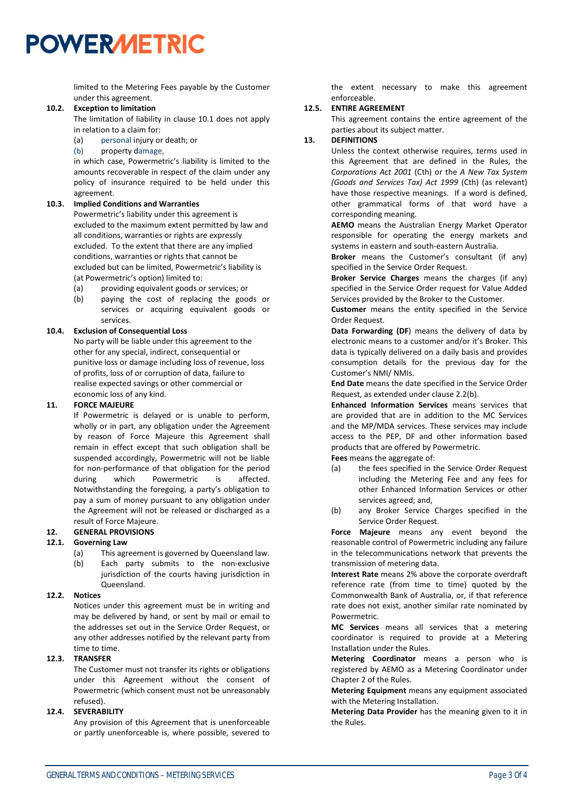limited to the Metering Fees payable by the Customer under this agreement.

#### **10.2. Exception to limitation**

The limitation of liability in clause 10.1 does not apply in relation to a claim for:

- (a) personal injury or death; or
- (b) property damage,

in which case, Powermetric's liability is limited to the amounts recoverable in respect of the claim under any policy of insurance required to be held under this agreement.

#### **10.3. Implied Conditions and Warranties**

Powermetric's liability under this agreement is excluded to the maximum extent permitted by law and all conditions, warranties or rights are expressly excluded. To the extent that there are any implied conditions, warranties or rights that cannot be excluded but can be limited, Powermetric's liability is (at Powermetric's option) limited to:

- (a) providing equivalent goods or services; or
- (b) paying the cost of replacing the goods or services or acquiring equivalent goods or services.

#### **10.4. Exclusion of Consequential Loss**

No party will be liable under this agreement to the other for any special, indirect, consequential or punitive loss or damage including loss of revenue, loss of profits, loss of or corruption of data, failure to realise expected savings or other commercial or economic loss of any kind.

#### **11. FORCE MAJEURE**

If Powermetric is delayed or is unable to perform, wholly or in part, any obligation under the Agreement by reason of Force Majeure this Agreement shall remain in effect except that such obligation shall be suspended accordingly, Powermetric will not be liable for non-performance of that obligation for the period during which Powermetric is affected. Notwithstanding the foregoing, a party's obligation to pay a sum of money pursuant to any obligation under the Agreement will not be released or discharged as a result of Force Majeure.

#### **12. GENERAL PROVISIONS**

#### **12.1. Governing Law**

- (a) This agreement is governed by Queensland law.
- (b) Each party submits to the non-exclusive jurisdiction of the courts having jurisdiction in Queensland.

#### **12.2. Notices**

Notices under this agreement must be in writing and may be delivered by hand, or sent by mail or email to the addresses set out in the Service Order Request, or any other addresses notified by the relevant party from time to time.

#### **12.3. TRANSFER**

The Customer must not transfer its rights or obligations under this Agreement without the consent of Powermetric (which consent must not be unreasonably refused).

#### **12.4. SEVERABILITY**

Any provision of this Agreement that is unenforceable or partly unenforceable is, where possible, severed to

the extent necessary to make this agreement enforceable.

#### **12.5. ENTIRE AGREEMENT**

This agreement contains the entire agreement of the parties about its subject matter.

#### **13. DEFINITIONS**

Unless the context otherwise requires, terms used in this Agreement that are defined in the Rules, the *Corporations Act 2001* (Cth) or the *A New Tax System (Goods and Services Tax) Act 1999* (Cth) (as relevant) have those respective meanings. If a word is defined, other grammatical forms of that word have a corresponding meaning.

**AEMO** means the Australian Energy Market Operator responsible for operating the energy markets and systems in eastern and south-eastern Australia.

**Broker** means the Customer's consultant (if any) specified in the Service Order Request.

**Broker Service Charges** means the charges (if any) specified in the Service Order request for Value Added Services provided by the Broker to the Customer.

**Customer** means the entity specified in the Service Order Request.

**Data Forwarding (DF**) means the delivery of data by electronic means to a customer and/or it's Broker. This data is typically delivered on a daily basis and provides consumption details for the previous day for the Customer's NMI/ NMIs.

**End Date** means the date specified in the Service Order Request, as extended under clause [2.2\(](#page-0-1)b).

**Enhanced Information Services** means services that are provided that are in addition to the MC Services and the MP/MDA services. These services may include access to the PEP, DF and other information based products that are offered by Powermetric.

**Fees** means the aggregate of:

- (a) the fees specified in the Service Order Request including the Metering Fee and any fees for other Enhanced Information Services or other services agreed; and,
- (b) any Broker Service Charges specified in the Service Order Request.

**Force Majeure** means any event beyond the reasonable control of Powermetric including any failure in the telecommunications network that prevents the transmission of metering data.

**Interest Rate** means 2% above the corporate overdraft reference rate (from time to time) quoted by the Commonwealth Bank of Australia, or, if that reference rate does not exist, another similar rate nominated by Powermetric.

**MC Services** means all services that a metering coordinator is required to provide at a Metering Installation under the Rules.

**Metering Coordinator** means a person who is registered by AEMO as a Metering Coordinator under Chapter 2 of the Rules.

**Metering Equipment** means any equipment associated with the Metering Installation.

**Metering Data Provider** has the meaning given to it in the Rules.